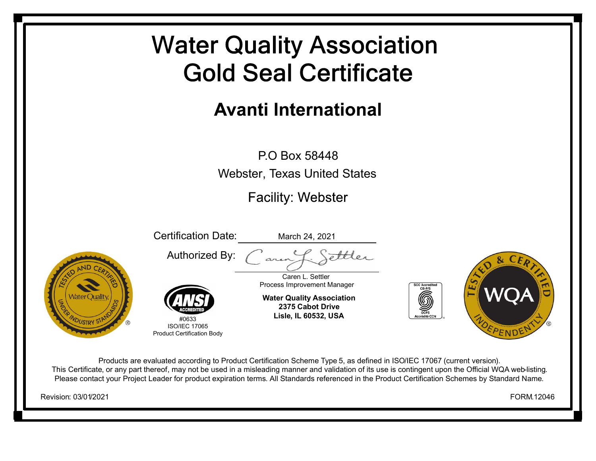## **Water Quality Association Gold Seal Certificate**

## **Avanti International**

P.O Box 58448Webster, Texas United States

**Facility: Webster** 

Certification Date: March 24, 2021 S<del>ett</del>ler Authorized By: Caren L. Settler Process Improvement Manager **Water Quality Association** Vater Ouality **2375 Cabot DriveLisle, IL 60532, USA** #0633ISO/IEC 17065Product Certification Body

Products are evaluated according to Product Certification Scheme Type 5, as defined in ISO/IEC 17067 (current version). This Certificate, or any part thereof, may not be used in a misleading manner and validation of its use is contingent upon the Official WQA web-listing. Please contact your Project Leader for product expiration terms. All Standards referenced in the Product Certification Schemes by Standard Name.

Revision: 03/01/2021

FORM.12046